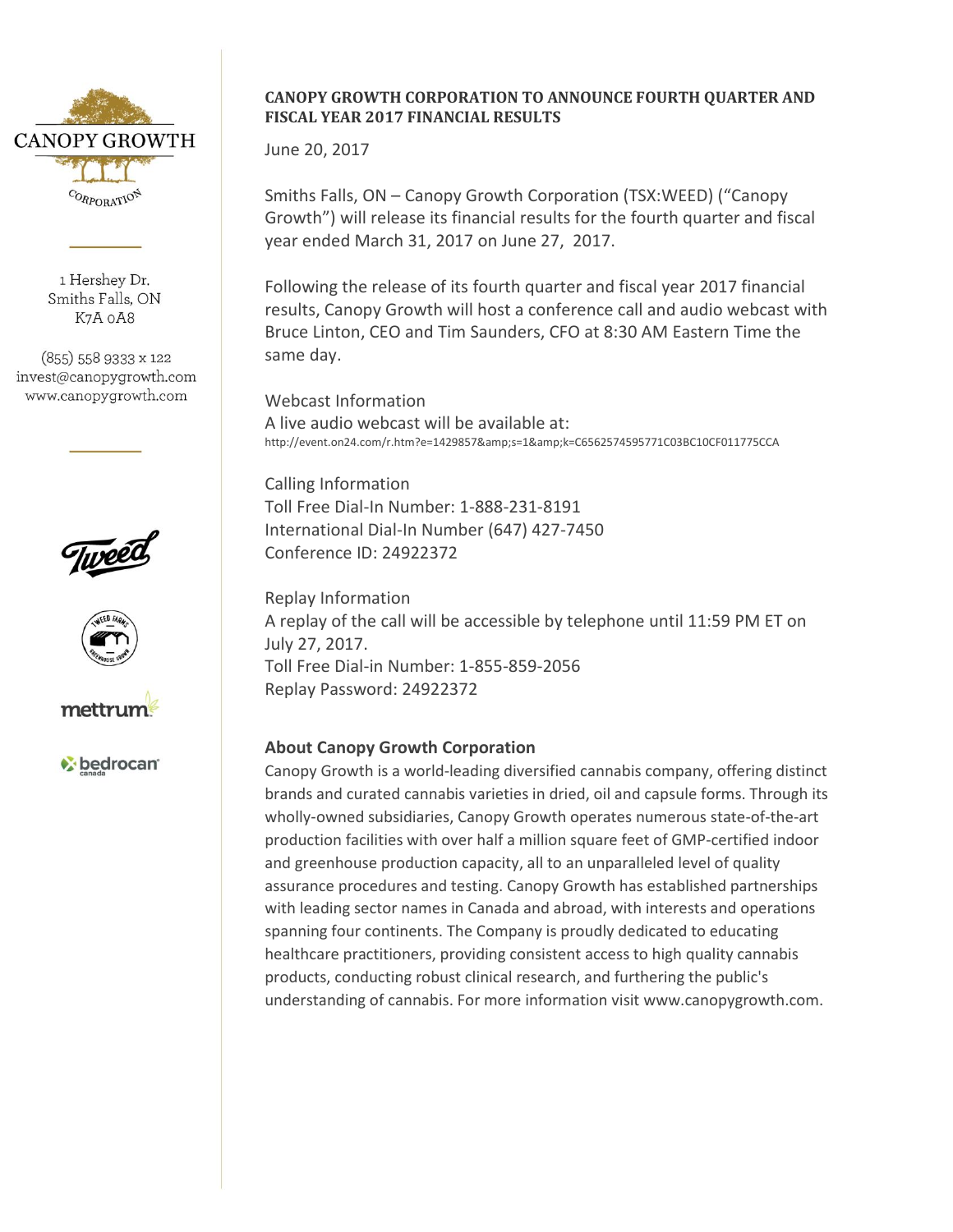

1 Hershev Dr. Smiths Falls, ON K7A oA8

(855) 558 9333 x 122 invest@canopygrowth.com www.canopygrowth.com







bedrocan<sup>®</sup>

## **CANOPY GROWTH CORPORATION TO ANNOUNCE FOURTH QUARTER AND FISCAL YEAR 2017 FINANCIAL RESULTS**

June 20, 2017

Smiths Falls, ON – Canopy Growth Corporation (TSX:WEED) ("Canopy Growth") will release its financial results for the fourth quarter and fiscal year ended March 31, 2017 on June 27, 2017.

Following the release of its fourth quarter and fiscal year 2017 financial results, Canopy Growth will host a conference call and audio webcast with Bruce Linton, CEO and Tim Saunders, CFO at 8:30 AM Eastern Time the same day.

Webcast Information A live audio webcast will be available at: http://event.on24.com/r.htm?e=1429857&s=1&k=C6562574595771C03BC10CF011775CCA

Calling Information Toll Free Dial-In Number: 1-888-231-8191 International Dial-In Number (647) 427-7450 Conference ID: 24922372

Replay Information A replay of the call will be accessible by telephone until 11:59 PM ET on July 27, 2017. Toll Free Dial-in Number: 1-855-859-2056 Replay Password: 24922372

## **About Canopy Growth Corporation**

Canopy Growth is a world-leading diversified cannabis company, offering distinct brands and curated cannabis varieties in dried, oil and capsule forms. Through its wholly-owned subsidiaries, Canopy Growth operates numerous state-of-the-art production facilities with over half a million square feet of GMP-certified indoor and greenhouse production capacity, all to an unparalleled level of quality assurance procedures and testing. Canopy Growth has established partnerships with leading sector names in Canada and abroad, with interests and operations spanning four continents. The Company is proudly dedicated to educating healthcare practitioners, providing consistent access to high quality cannabis products, conducting robust clinical research, and furthering the public's understanding of cannabis. For more information visit www.canopygrowth.com.